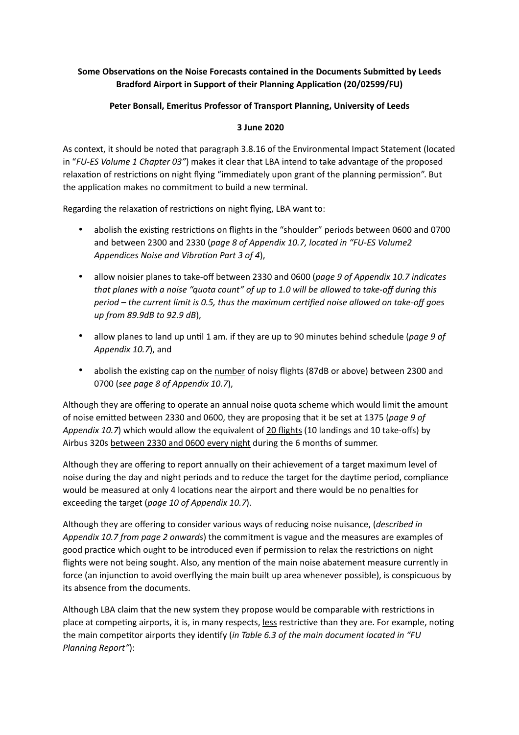## Some Observations on the Noise Forecasts contained in the Documents Submitted by Leeds **Bradford Airport in Support of their Planning Application (20/02599/FU)**

## **Peter Bonsall, Emeritus Professor of Transport Planning, University of Leeds**

## **3 June 2020**

As context, it should be noted that paragraph 3.8.16 of the Environmental Impact Statement (located in "*FU-ES Volume 1 Chapter 03"*) makes it clear that LBA intend to take advantage of the proposed relaxation of restrictions on night flying "immediately upon grant of the planning permission". But the application makes no commitment to build a new terminal.

Regarding the relaxation of restrictions on night flying, LBA want to:

- abolish the existing restrictions on flights in the "shoulder" periods between 0600 and 0700 and between 2300 and 2330 (*page 8 of Appendix 10.7, located in "FU-ES Volume2 Appendices Noise and Vibration Part 3 of 4*),
- allow noisier planes to take-off between 2330 and 0600 (*page 9 of Appendix 10.7 indicates that planes with a noise "quota count" of up to 1.0 will be allowed to take-off during this*  period – the current limit is 0.5, thus the maximum certified noise allowed on take-off goes *up from 89.9dB to 92.9 dB*),
- allow planes to land up until 1 am. if they are up to 90 minutes behind schedule (*page 9 of Appendix 10.7*), and
- abolish the existing cap on the number of noisy flights (87dB or above) between 2300 and 0700 (*see page 8 of Appendix 10.7*),

Although they are offering to operate an annual noise quota scheme which would limit the amount of noise emitted between 2330 and 0600, they are proposing that it be set at 1375 (page 9 of *Appendix 10.7*) which would allow the equivalent of 20 flights (10 landings and 10 take-offs) by Airbus 320s between 2330 and 0600 every night during the 6 months of summer.

Although they are offering to report annually on their achievement of a target maximum level of noise during the day and night periods and to reduce the target for the daytime period, compliance would be measured at only 4 locations near the airport and there would be no penalties for exceeding the target (*page 10 of Appendix 10.7*).

Although they are offering to consider various ways of reducing noise nuisance, (*described in Appendix 10.7 from page 2 onwards*) the commitment is vague and the measures are examples of good practice which ought to be introduced even if permission to relax the restrictions on night flights were not being sought. Also, any mention of the main noise abatement measure currently in force (an injunction to avoid overflying the main built up area whenever possible), is conspicuous by its absence from the documents.

Although LBA claim that the new system they propose would be comparable with restrictions in place at competing airports, it is, in many respects, less restrictive than they are. For example, noting the main competitor airports they identify (*in Table 6.3 of the main document located in "FU Planning Report"*):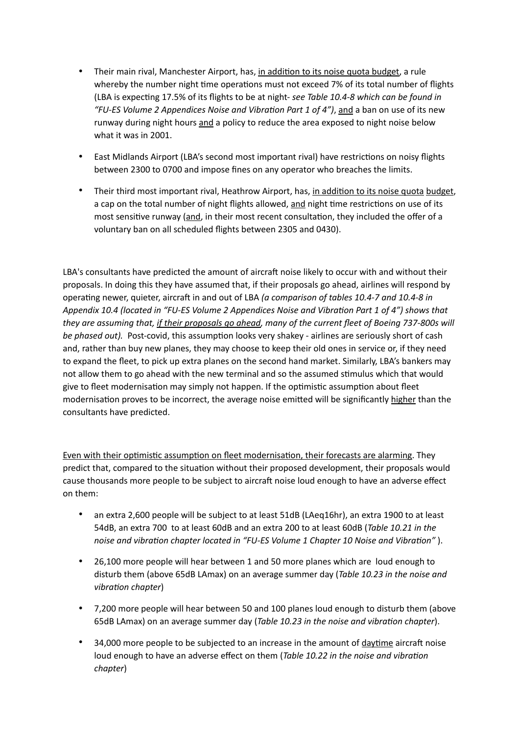- Their main rival, Manchester Airport, has, in addition to its noise quota budget, a rule whereby the number night time operations must not exceed 7% of its total number of flights (LBA is expecting 17.5% of its flights to be at night- *see Table 10.4-8 which can be found in "FU-ES Volume 2 Appendices Noise and Vibration Part 1 of 4"), and a ban on use of its new* runway during night hours and a policy to reduce the area exposed to night noise below what it was in 2001.
- East Midlands Airport (LBA's second most important rival) have restrictions on noisy flights between 2300 to 0700 and impose fines on any operator who breaches the limits.
- Their third most important rival, Heathrow Airport, has, in addition to its noise quota budget, a cap on the total number of night flights allowed, and night time restrictions on use of its most sensitive runway (and, in their most recent consultation, they included the offer of a voluntary ban on all scheduled flights between 2305 and 0430).

LBA's consultants have predicted the amount of aircraft noise likely to occur with and without their proposals. In doing this they have assumed that, if their proposals go ahead, airlines will respond by operating newer, quieter, aircraft in and out of LBA *(a comparison of tables 10.4-7 and 10.4-8 in Appendix 10.4 (located in "FU-ES Volume 2 Appendices Noise and Vibration Part 1 of 4") shows that they are assuming that, if their proposals go ahead, many of the current fleet of Boeing 737-800s will be phased out).* Post-covid, this assumption looks very shakey - airlines are seriously short of cash and, rather than buy new planes, they may choose to keep their old ones in service or, if they need to expand the fleet, to pick up extra planes on the second hand market. Similarly, LBA's bankers may not allow them to go ahead with the new terminal and so the assumed stimulus which that would give to fleet modernisation may simply not happen. If the optimistic assumption about fleet modernisation proves to be incorrect, the average noise emitted will be significantly higher than the consultants have predicted.

Even with their optimistic assumption on fleet modernisation, their forecasts are alarming. They predict that, compared to the situation without their proposed development, their proposals would cause thousands more people to be subject to aircraft noise loud enough to have an adverse effect on them:

- an extra 2,600 people will be subject to at least 51dB (LAeq16hr), an extra 1900 to at least 54dB, an extra 700 to at least 60dB and an extra 200 to at least 60dB (*Table 10.21 in the noise and vibration chapter located in "FU-ES Volume 1 Chapter 10 Noise and Vibration"* ).
- 26,100 more people will hear between 1 and 50 more planes which are loud enough to disturb them (above 65dB LAmax) on an average summer day (*Table 10.23 in the noise and vibration chapter*)
- 7,200 more people will hear between 50 and 100 planes loud enough to disturb them (above 65dB LAmax) on an average summer day (*Table 10.23 in the noise and vibration chapter*).
- $94,000$  more people to be subjected to an increase in the amount of daytime aircraft noise loud enough to have an adverse effect on them (*Table 10.22 in the noise and vibration chapter*)